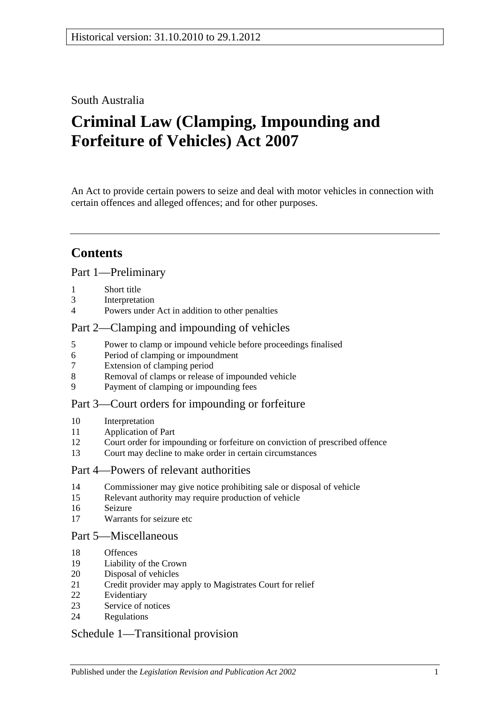## South Australia

# **Criminal Law (Clamping, Impounding and Forfeiture of Vehicles) Act 2007**

An Act to provide certain powers to seize and deal with motor vehicles in connection with certain offences and alleged offences; and for other purposes.

## **Contents**

## [Part 1—Preliminary](#page-1-0)

- [Short title](#page-1-1)
- [Interpretation](#page-1-2)
- [Powers under Act in addition to other penalties](#page-2-0)

## [Part 2—Clamping and impounding of vehicles](#page-2-1)

- [Power to clamp or impound vehicle before proceedings finalised](#page-2-2)
- [Period of clamping or impoundment](#page-3-0)
- [Extension of clamping period](#page-3-1)
- [Removal of clamps or release of impounded vehicle](#page-4-0)
- [Payment of clamping or impounding fees](#page-5-0)

## [Part 3—Court orders for impounding or forfeiture](#page-6-0)

- [Interpretation](#page-6-1)
- [Application of Part](#page-6-2)
- [Court order for impounding or forfeiture on conviction of prescribed offence](#page-6-3)
- [Court may decline to make order in certain circumstances](#page-8-0)

#### [Part 4—Powers of relevant authorities](#page-8-1)

- [Commissioner may give notice prohibiting sale or disposal of vehicle](#page-8-2)
- [Relevant authority may require production of vehicle](#page-10-0)
- [Seizure](#page-10-1)
- [Warrants for seizure etc](#page-11-0)

#### [Part 5—Miscellaneous](#page-12-0)

- [Offences](#page-12-1)
- [Liability of the Crown](#page-13-0)
- [Disposal of vehicles](#page-13-1)
- [Credit provider may apply to Magistrates Court for relief](#page-14-0)
- [Evidentiary](#page-15-0)
- [Service of notices](#page-15-1)
- [Regulations](#page-16-0)

## [Schedule 1—Transitional provision](#page-17-0)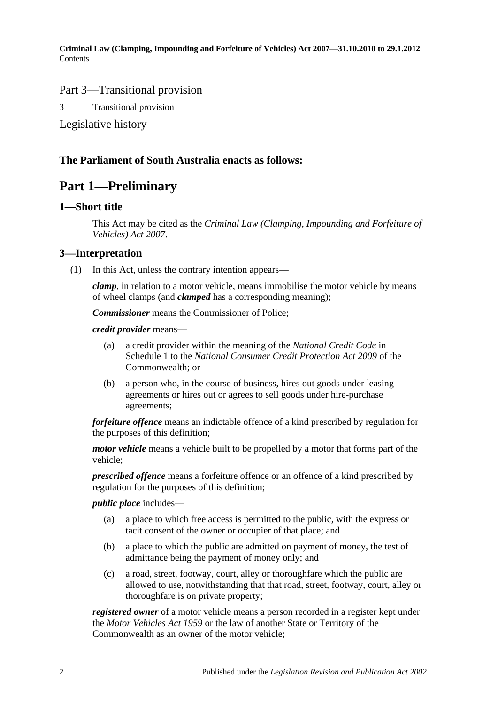## Part 3—Transitional provision

3 [Transitional provision](#page-17-1)

[Legislative history](#page-18-0)

## <span id="page-1-0"></span>**The Parliament of South Australia enacts as follows:**

## **Part 1—Preliminary**

#### <span id="page-1-1"></span>**1—Short title**

This Act may be cited as the *Criminal Law (Clamping, Impounding and Forfeiture of Vehicles) Act 2007*.

## <span id="page-1-2"></span>**3—Interpretation**

(1) In this Act, unless the contrary intention appears—

*clamp*, in relation to a motor vehicle, means immobilise the motor vehicle by means of wheel clamps (and *clamped* has a corresponding meaning);

*Commissioner* means the Commissioner of Police;

*credit provider* means—

- (a) a credit provider within the meaning of the *National Credit Code* in Schedule 1 to the *National Consumer Credit Protection Act 2009* of the Commonwealth; or
- (b) a person who, in the course of business, hires out goods under leasing agreements or hires out or agrees to sell goods under hire-purchase agreements;

*forfeiture offence* means an indictable offence of a kind prescribed by regulation for the purposes of this definition;

*motor vehicle* means a vehicle built to be propelled by a motor that forms part of the vehicle;

*prescribed offence* means a forfeiture offence or an offence of a kind prescribed by regulation for the purposes of this definition;

#### *public place* includes—

- (a) a place to which free access is permitted to the public, with the express or tacit consent of the owner or occupier of that place; and
- (b) a place to which the public are admitted on payment of money, the test of admittance being the payment of money only; and
- (c) a road, street, footway, court, alley or thoroughfare which the public are allowed to use, notwithstanding that that road, street, footway, court, alley or thoroughfare is on private property;

*registered owner* of a motor vehicle means a person recorded in a register kept under the *[Motor Vehicles Act](http://www.legislation.sa.gov.au/index.aspx?action=legref&type=act&legtitle=Motor%20Vehicles%20Act%201959) 1959* or the law of another State or Territory of the Commonwealth as an owner of the motor vehicle;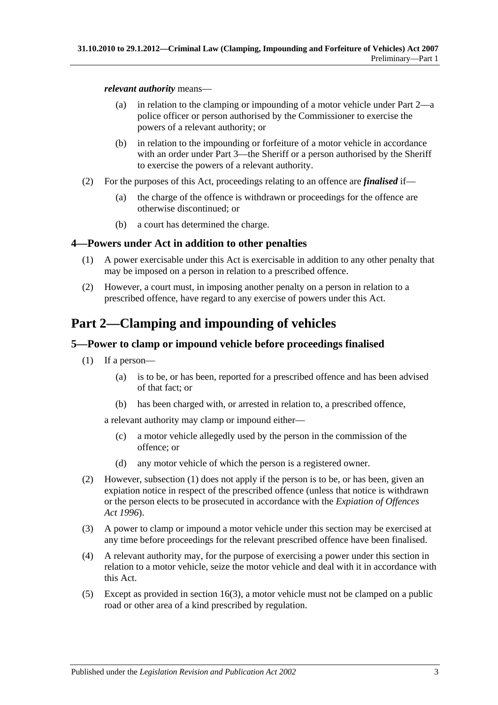#### *relevant authority* means—

- (a) in relation to the clamping or impounding of a motor vehicle under [Part 2—](#page-2-1)a police officer or person authorised by the Commissioner to exercise the powers of a relevant authority; or
- (b) in relation to the impounding or forfeiture of a motor vehicle in accordance with an order under [Part 3—](#page-6-0)the Sheriff or a person authorised by the Sheriff to exercise the powers of a relevant authority.
- (2) For the purposes of this Act, proceedings relating to an offence are *finalised* if—
	- (a) the charge of the offence is withdrawn or proceedings for the offence are otherwise discontinued; or
	- (b) a court has determined the charge.

## <span id="page-2-0"></span>**4—Powers under Act in addition to other penalties**

- (1) A power exercisable under this Act is exercisable in addition to any other penalty that may be imposed on a person in relation to a prescribed offence.
- (2) However, a court must, in imposing another penalty on a person in relation to a prescribed offence, have regard to any exercise of powers under this Act.

## <span id="page-2-1"></span>**Part 2—Clamping and impounding of vehicles**

## <span id="page-2-3"></span><span id="page-2-2"></span>**5—Power to clamp or impound vehicle before proceedings finalised**

- (1) If a person—
	- (a) is to be, or has been, reported for a prescribed offence and has been advised of that fact; or
	- (b) has been charged with, or arrested in relation to, a prescribed offence,

<span id="page-2-4"></span>a relevant authority may clamp or impound either—

- (c) a motor vehicle allegedly used by the person in the commission of the offence; or
- (d) any motor vehicle of which the person is a registered owner.
- (2) However, [subsection](#page-2-3) (1) does not apply if the person is to be, or has been, given an expiation notice in respect of the prescribed offence (unless that notice is withdrawn or the person elects to be prosecuted in accordance with the *[Expiation of Offences](http://www.legislation.sa.gov.au/index.aspx?action=legref&type=act&legtitle=Expiation%20of%20Offences%20Act%201996)  Act [1996](http://www.legislation.sa.gov.au/index.aspx?action=legref&type=act&legtitle=Expiation%20of%20Offences%20Act%201996)*).
- (3) A power to clamp or impound a motor vehicle under this section may be exercised at any time before proceedings for the relevant prescribed offence have been finalised.
- (4) A relevant authority may, for the purpose of exercising a power under this section in relation to a motor vehicle, seize the motor vehicle and deal with it in accordance with this Act.
- (5) Except as provided in [section](#page-11-1) 16(3), a motor vehicle must not be clamped on a public road or other area of a kind prescribed by regulation.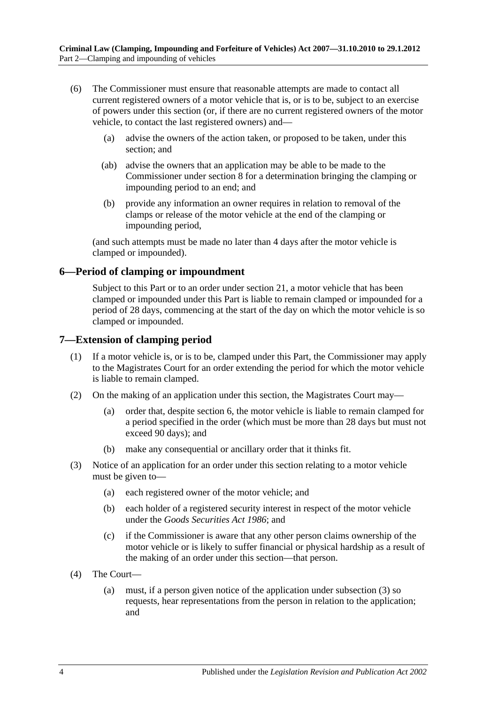- (6) The Commissioner must ensure that reasonable attempts are made to contact all current registered owners of a motor vehicle that is, or is to be, subject to an exercise of powers under this section (or, if there are no current registered owners of the motor vehicle, to contact the last registered owners) and—
	- (a) advise the owners of the action taken, or proposed to be taken, under this section; and
	- (ab) advise the owners that an application may be able to be made to the Commissioner under [section](#page-4-0) 8 for a determination bringing the clamping or impounding period to an end; and
	- (b) provide any information an owner requires in relation to removal of the clamps or release of the motor vehicle at the end of the clamping or impounding period,

(and such attempts must be made no later than 4 days after the motor vehicle is clamped or impounded).

## <span id="page-3-0"></span>**6—Period of clamping or impoundment**

Subject to this Part or to an order under [section](#page-14-0) 21, a motor vehicle that has been clamped or impounded under this Part is liable to remain clamped or impounded for a period of 28 days, commencing at the start of the day on which the motor vehicle is so clamped or impounded.

#### <span id="page-3-1"></span>**7—Extension of clamping period**

- (1) If a motor vehicle is, or is to be, clamped under this Part, the Commissioner may apply to the Magistrates Court for an order extending the period for which the motor vehicle is liable to remain clamped.
- (2) On the making of an application under this section, the Magistrates Court may—
	- (a) order that, despite [section](#page-3-0) 6, the motor vehicle is liable to remain clamped for a period specified in the order (which must be more than 28 days but must not exceed 90 days); and
	- (b) make any consequential or ancillary order that it thinks fit.
- <span id="page-3-2"></span>(3) Notice of an application for an order under this section relating to a motor vehicle must be given to—
	- (a) each registered owner of the motor vehicle; and
	- (b) each holder of a registered security interest in respect of the motor vehicle under the *[Goods Securities Act](http://www.legislation.sa.gov.au/index.aspx?action=legref&type=act&legtitle=Goods%20Securities%20Act%201986) 1986*; and
	- (c) if the Commissioner is aware that any other person claims ownership of the motor vehicle or is likely to suffer financial or physical hardship as a result of the making of an order under this section—that person.
- (4) The Court—
	- (a) must, if a person given notice of the application under [subsection](#page-3-2) (3) so requests, hear representations from the person in relation to the application; and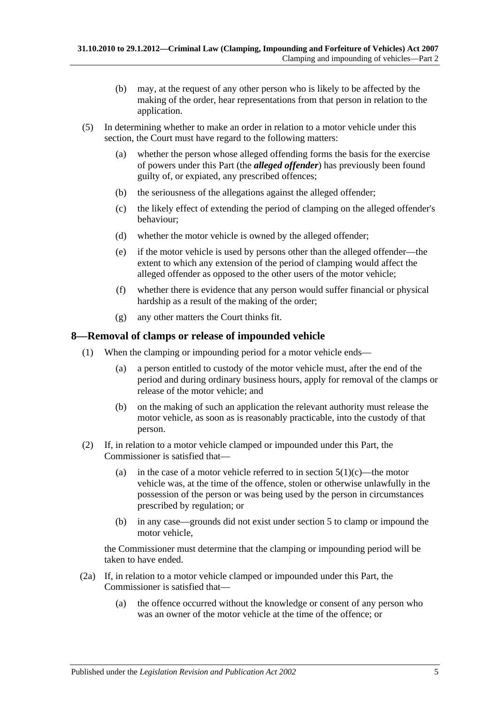- (b) may, at the request of any other person who is likely to be affected by the making of the order, hear representations from that person in relation to the application.
- (5) In determining whether to make an order in relation to a motor vehicle under this section, the Court must have regard to the following matters:
	- (a) whether the person whose alleged offending forms the basis for the exercise of powers under this Part (the *alleged offender*) has previously been found guilty of, or expiated, any prescribed offences;
	- (b) the seriousness of the allegations against the alleged offender;
	- (c) the likely effect of extending the period of clamping on the alleged offender's behaviour;
	- (d) whether the motor vehicle is owned by the alleged offender;
	- (e) if the motor vehicle is used by persons other than the alleged offender—the extent to which any extension of the period of clamping would affect the alleged offender as opposed to the other users of the motor vehicle;
	- (f) whether there is evidence that any person would suffer financial or physical hardship as a result of the making of the order;
	- (g) any other matters the Court thinks fit.

#### <span id="page-4-0"></span>**8—Removal of clamps or release of impounded vehicle**

- (1) When the clamping or impounding period for a motor vehicle ends—
	- (a) a person entitled to custody of the motor vehicle must, after the end of the period and during ordinary business hours, apply for removal of the clamps or release of the motor vehicle; and
	- (b) on the making of such an application the relevant authority must release the motor vehicle, as soon as is reasonably practicable, into the custody of that person.
- <span id="page-4-1"></span>(2) If, in relation to a motor vehicle clamped or impounded under this Part, the Commissioner is satisfied that
	- (a) in the case of a motor vehicle referred to in [section](#page-2-4)  $5(1)(c)$ —the motor vehicle was, at the time of the offence, stolen or otherwise unlawfully in the possession of the person or was being used by the person in circumstances prescribed by regulation; or
	- (b) in any case—grounds did not exist under [section](#page-2-2) 5 to clamp or impound the motor vehicle,

the Commissioner must determine that the clamping or impounding period will be taken to have ended.

- <span id="page-4-2"></span>(2a) If, in relation to a motor vehicle clamped or impounded under this Part, the Commissioner is satisfied that—
	- (a) the offence occurred without the knowledge or consent of any person who was an owner of the motor vehicle at the time of the offence; or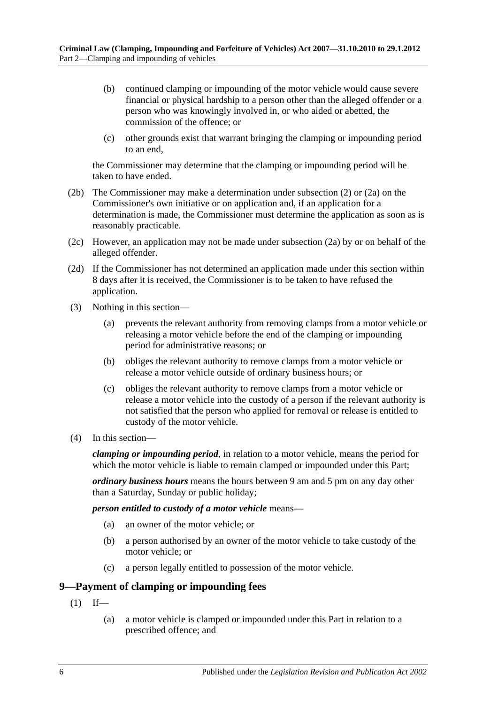- (b) continued clamping or impounding of the motor vehicle would cause severe financial or physical hardship to a person other than the alleged offender or a person who was knowingly involved in, or who aided or abetted, the commission of the offence; or
- (c) other grounds exist that warrant bringing the clamping or impounding period to an end,

the Commissioner may determine that the clamping or impounding period will be taken to have ended.

- (2b) The Commissioner may make a determination under [subsection](#page-4-1) (2) or [\(2a\)](#page-4-2) on the Commissioner's own initiative or on application and, if an application for a determination is made, the Commissioner must determine the application as soon as is reasonably practicable.
- (2c) However, an application may not be made under [subsection](#page-4-2) (2a) by or on behalf of the alleged offender.
- (2d) If the Commissioner has not determined an application made under this section within 8 days after it is received, the Commissioner is to be taken to have refused the application.
- (3) Nothing in this section—
	- (a) prevents the relevant authority from removing clamps from a motor vehicle or releasing a motor vehicle before the end of the clamping or impounding period for administrative reasons; or
	- (b) obliges the relevant authority to remove clamps from a motor vehicle or release a motor vehicle outside of ordinary business hours; or
	- (c) obliges the relevant authority to remove clamps from a motor vehicle or release a motor vehicle into the custody of a person if the relevant authority is not satisfied that the person who applied for removal or release is entitled to custody of the motor vehicle.
- (4) In this section—

*clamping or impounding period*, in relation to a motor vehicle, means the period for which the motor vehicle is liable to remain clamped or impounded under this Part;

*ordinary business hours* means the hours between 9 am and 5 pm on any day other than a Saturday, Sunday or public holiday;

*person entitled to custody of a motor vehicle* means—

- (a) an owner of the motor vehicle; or
- (b) a person authorised by an owner of the motor vehicle to take custody of the motor vehicle; or
- (c) a person legally entitled to possession of the motor vehicle.

## <span id="page-5-1"></span><span id="page-5-0"></span>**9—Payment of clamping or impounding fees**

- $(1)$  If—
	- (a) a motor vehicle is clamped or impounded under this Part in relation to a prescribed offence; and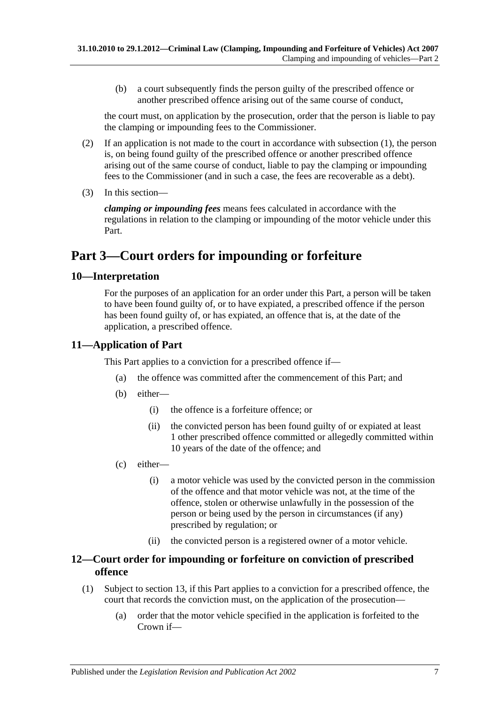(b) a court subsequently finds the person guilty of the prescribed offence or another prescribed offence arising out of the same course of conduct,

the court must, on application by the prosecution, order that the person is liable to pay the clamping or impounding fees to the Commissioner.

- (2) If an application is not made to the court in accordance with [subsection](#page-5-1) (1), the person is, on being found guilty of the prescribed offence or another prescribed offence arising out of the same course of conduct, liable to pay the clamping or impounding fees to the Commissioner (and in such a case, the fees are recoverable as a debt).
- (3) In this section—

*clamping or impounding fees* means fees calculated in accordance with the regulations in relation to the clamping or impounding of the motor vehicle under this Part.

## <span id="page-6-0"></span>**Part 3—Court orders for impounding or forfeiture**

## <span id="page-6-1"></span>**10—Interpretation**

For the purposes of an application for an order under this Part, a person will be taken to have been found guilty of, or to have expiated, a prescribed offence if the person has been found guilty of, or has expiated, an offence that is, at the date of the application, a prescribed offence.

## <span id="page-6-2"></span>**11—Application of Part**

This Part applies to a conviction for a prescribed offence if—

- (a) the offence was committed after the commencement of this Part; and
- (b) either—
	- (i) the offence is a forfeiture offence; or
	- (ii) the convicted person has been found guilty of or expiated at least 1 other prescribed offence committed or allegedly committed within 10 years of the date of the offence; and
- <span id="page-6-6"></span>(c) either—
	- (i) a motor vehicle was used by the convicted person in the commission of the offence and that motor vehicle was not, at the time of the offence, stolen or otherwise unlawfully in the possession of the person or being used by the person in circumstances (if any) prescribed by regulation; or
	- (ii) the convicted person is a registered owner of a motor vehicle.

## <span id="page-6-3"></span>**12—Court order for impounding or forfeiture on conviction of prescribed offence**

- <span id="page-6-5"></span><span id="page-6-4"></span>(1) Subject to [section](#page-8-0) 13, if this Part applies to a conviction for a prescribed offence, the court that records the conviction must, on the application of the prosecution—
	- (a) order that the motor vehicle specified in the application is forfeited to the Crown if—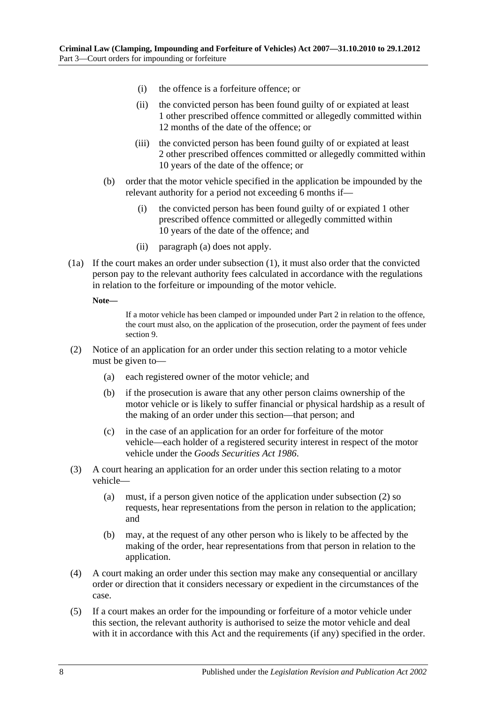- (i) the offence is a forfeiture offence; or
- (ii) the convicted person has been found guilty of or expiated at least 1 other prescribed offence committed or allegedly committed within 12 months of the date of the offence; or
- (iii) the convicted person has been found guilty of or expiated at least 2 other prescribed offences committed or allegedly committed within 10 years of the date of the offence; or
- (b) order that the motor vehicle specified in the application be impounded by the relevant authority for a period not exceeding 6 months if—
	- (i) the convicted person has been found guilty of or expiated 1 other prescribed offence committed or allegedly committed within 10 years of the date of the offence; and
	- (ii) [paragraph](#page-6-4) (a) does not apply.
- (1a) If the court makes an order under [subsection](#page-6-5) (1), it must also order that the convicted person pay to the relevant authority fees calculated in accordance with the regulations in relation to the forfeiture or impounding of the motor vehicle.

**Note—**

If a motor vehicle has been clamped or impounded under [Part 2](#page-2-1) in relation to the offence, the court must also, on the application of the prosecution, order the payment of fees under [section](#page-5-0) 9.

- <span id="page-7-0"></span>(2) Notice of an application for an order under this section relating to a motor vehicle must be given to—
	- (a) each registered owner of the motor vehicle; and
	- (b) if the prosecution is aware that any other person claims ownership of the motor vehicle or is likely to suffer financial or physical hardship as a result of the making of an order under this section—that person; and
	- (c) in the case of an application for an order for forfeiture of the motor vehicle—each holder of a registered security interest in respect of the motor vehicle under the *[Goods Securities Act](http://www.legislation.sa.gov.au/index.aspx?action=legref&type=act&legtitle=Goods%20Securities%20Act%201986) 1986*.
- (3) A court hearing an application for an order under this section relating to a motor vehicle—
	- (a) must, if a person given notice of the application under [subsection](#page-7-0) (2) so requests, hear representations from the person in relation to the application; and
	- (b) may, at the request of any other person who is likely to be affected by the making of the order, hear representations from that person in relation to the application.
- (4) A court making an order under this section may make any consequential or ancillary order or direction that it considers necessary or expedient in the circumstances of the case.
- (5) If a court makes an order for the impounding or forfeiture of a motor vehicle under this section, the relevant authority is authorised to seize the motor vehicle and deal with it in accordance with this Act and the requirements (if any) specified in the order.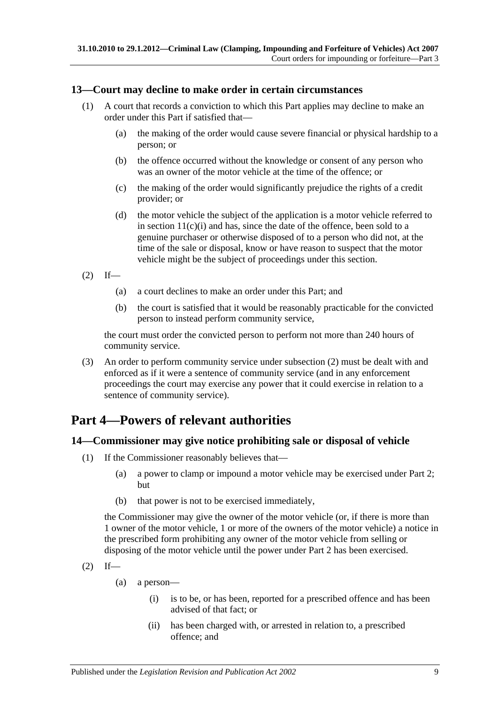## <span id="page-8-0"></span>**13—Court may decline to make order in certain circumstances**

- (1) A court that records a conviction to which this Part applies may decline to make an order under this Part if satisfied that—
	- (a) the making of the order would cause severe financial or physical hardship to a person; or
	- (b) the offence occurred without the knowledge or consent of any person who was an owner of the motor vehicle at the time of the offence; or
	- (c) the making of the order would significantly prejudice the rights of a credit provider; or
	- (d) the motor vehicle the subject of the application is a motor vehicle referred to in section  $11(c)(i)$  and has, since the date of the offence, been sold to a genuine purchaser or otherwise disposed of to a person who did not, at the time of the sale or disposal, know or have reason to suspect that the motor vehicle might be the subject of proceedings under this section.

<span id="page-8-3"></span> $(2)$  If—

- (a) a court declines to make an order under this Part; and
- (b) the court is satisfied that it would be reasonably practicable for the convicted person to instead perform community service,

the court must order the convicted person to perform not more than 240 hours of community service.

(3) An order to perform community service under [subsection](#page-8-3) (2) must be dealt with and enforced as if it were a sentence of community service (and in any enforcement proceedings the court may exercise any power that it could exercise in relation to a sentence of community service).

## <span id="page-8-1"></span>**Part 4—Powers of relevant authorities**

#### <span id="page-8-2"></span>**14—Commissioner may give notice prohibiting sale or disposal of vehicle**

- (1) If the Commissioner reasonably believes that—
	- (a) a power to clamp or impound a motor vehicle may be exercised under [Part 2;](#page-2-1) but
	- (b) that power is not to be exercised immediately,

the Commissioner may give the owner of the motor vehicle (or, if there is more than 1 owner of the motor vehicle, 1 or more of the owners of the motor vehicle) a notice in the prescribed form prohibiting any owner of the motor vehicle from selling or disposing of the motor vehicle until the power under [Part 2](#page-2-1) has been exercised.

- <span id="page-8-4"></span> $(2)$  If—
	- (a) a person—
		- (i) is to be, or has been, reported for a prescribed offence and has been advised of that fact; or
		- (ii) has been charged with, or arrested in relation to, a prescribed offence; and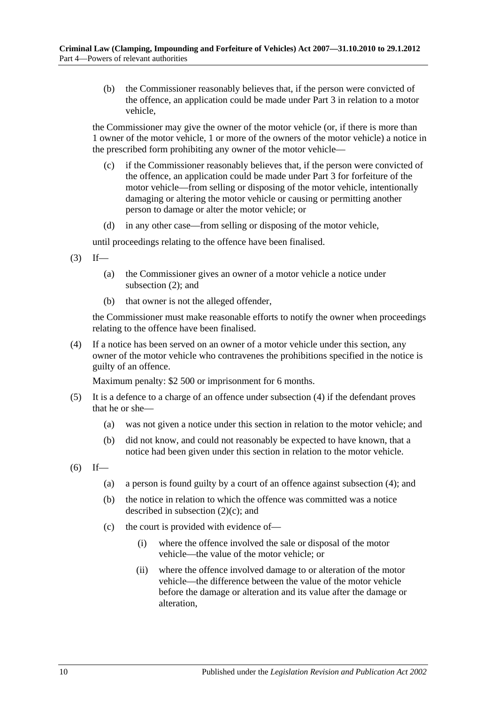(b) the Commissioner reasonably believes that, if the person were convicted of the offence, an application could be made under [Part 3](#page-6-0) in relation to a motor vehicle,

the Commissioner may give the owner of the motor vehicle (or, if there is more than 1 owner of the motor vehicle, 1 or more of the owners of the motor vehicle) a notice in the prescribed form prohibiting any owner of the motor vehicle—

- <span id="page-9-1"></span>(c) if the Commissioner reasonably believes that, if the person were convicted of the offence, an application could be made under [Part 3](#page-6-0) for forfeiture of the motor vehicle—from selling or disposing of the motor vehicle, intentionally damaging or altering the motor vehicle or causing or permitting another person to damage or alter the motor vehicle; or
- (d) in any other case—from selling or disposing of the motor vehicle,

until proceedings relating to the offence have been finalised.

- $(3)$  If—
	- (a) the Commissioner gives an owner of a motor vehicle a notice under [subsection](#page-8-4) (2); and
	- (b) that owner is not the alleged offender,

the Commissioner must make reasonable efforts to notify the owner when proceedings relating to the offence have been finalised.

<span id="page-9-0"></span>(4) If a notice has been served on an owner of a motor vehicle under this section, any owner of the motor vehicle who contravenes the prohibitions specified in the notice is guilty of an offence.

Maximum penalty: \$2 500 or imprisonment for 6 months.

- (5) It is a defence to a charge of an offence under [subsection](#page-9-0) (4) if the defendant proves that he or she—
	- (a) was not given a notice under this section in relation to the motor vehicle; and
	- (b) did not know, and could not reasonably be expected to have known, that a notice had been given under this section in relation to the motor vehicle.
- <span id="page-9-4"></span><span id="page-9-3"></span><span id="page-9-2"></span> $(6)$  If—
	- (a) a person is found guilty by a court of an offence against [subsection](#page-9-0) (4); and
	- (b) the notice in relation to which the offence was committed was a notice described in [subsection](#page-9-1)  $(2)(c)$ ; and
	- (c) the court is provided with evidence of—
		- (i) where the offence involved the sale or disposal of the motor vehicle—the value of the motor vehicle; or
		- (ii) where the offence involved damage to or alteration of the motor vehicle—the difference between the value of the motor vehicle before the damage or alteration and its value after the damage or alteration,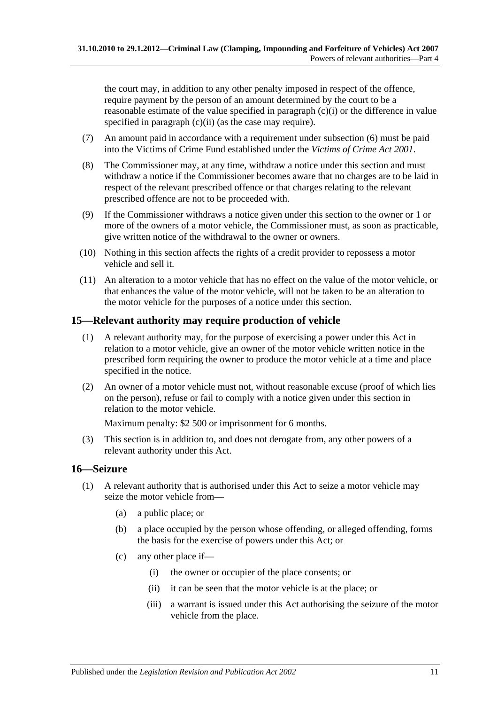the court may, in addition to any other penalty imposed in respect of the offence, require payment by the person of an amount determined by the court to be a reasonable estimate of the value specified in [paragraph](#page-9-2)  $(c)(i)$  or the difference in value specified in [paragraph](#page-9-3) (c)(ii) (as the case may require).

- (7) An amount paid in accordance with a requirement under [subsection](#page-9-4) (6) must be paid into the Victims of Crime Fund established under the *[Victims of Crime Act](http://www.legislation.sa.gov.au/index.aspx?action=legref&type=act&legtitle=Victims%20of%20Crime%20Act%202001) 2001*.
- (8) The Commissioner may, at any time, withdraw a notice under this section and must withdraw a notice if the Commissioner becomes aware that no charges are to be laid in respect of the relevant prescribed offence or that charges relating to the relevant prescribed offence are not to be proceeded with.
- (9) If the Commissioner withdraws a notice given under this section to the owner or 1 or more of the owners of a motor vehicle, the Commissioner must, as soon as practicable, give written notice of the withdrawal to the owner or owners.
- (10) Nothing in this section affects the rights of a credit provider to repossess a motor vehicle and sell it.
- (11) An alteration to a motor vehicle that has no effect on the value of the motor vehicle, or that enhances the value of the motor vehicle, will not be taken to be an alteration to the motor vehicle for the purposes of a notice under this section.

## <span id="page-10-0"></span>**15—Relevant authority may require production of vehicle**

- (1) A relevant authority may, for the purpose of exercising a power under this Act in relation to a motor vehicle, give an owner of the motor vehicle written notice in the prescribed form requiring the owner to produce the motor vehicle at a time and place specified in the notice.
- (2) An owner of a motor vehicle must not, without reasonable excuse (proof of which lies on the person), refuse or fail to comply with a notice given under this section in relation to the motor vehicle.

Maximum penalty: \$2 500 or imprisonment for 6 months.

(3) This section is in addition to, and does not derogate from, any other powers of a relevant authority under this Act.

## <span id="page-10-1"></span>**16—Seizure**

- <span id="page-10-2"></span>(1) A relevant authority that is authorised under this Act to seize a motor vehicle may seize the motor vehicle from—
	- (a) a public place; or
	- (b) a place occupied by the person whose offending, or alleged offending, forms the basis for the exercise of powers under this Act; or
	- (c) any other place if—
		- (i) the owner or occupier of the place consents; or
		- (ii) it can be seen that the motor vehicle is at the place; or
		- (iii) a warrant is issued under this Act authorising the seizure of the motor vehicle from the place.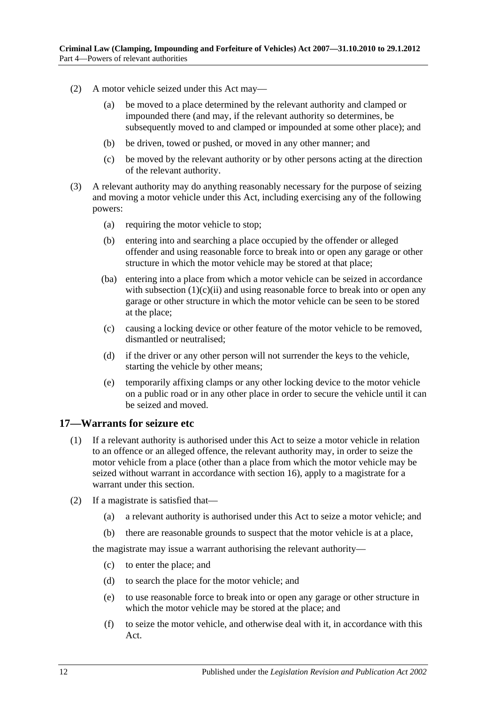- (2) A motor vehicle seized under this Act may—
	- (a) be moved to a place determined by the relevant authority and clamped or impounded there (and may, if the relevant authority so determines, be subsequently moved to and clamped or impounded at some other place); and
	- (b) be driven, towed or pushed, or moved in any other manner; and
	- (c) be moved by the relevant authority or by other persons acting at the direction of the relevant authority.
- <span id="page-11-1"></span>(3) A relevant authority may do anything reasonably necessary for the purpose of seizing and moving a motor vehicle under this Act, including exercising any of the following powers:
	- (a) requiring the motor vehicle to stop;
	- (b) entering into and searching a place occupied by the offender or alleged offender and using reasonable force to break into or open any garage or other structure in which the motor vehicle may be stored at that place;
	- (ba) entering into a place from which a motor vehicle can be seized in accordance with [subsection](#page-10-2)  $(1)(c)(ii)$  and using reasonable force to break into or open any garage or other structure in which the motor vehicle can be seen to be stored at the place;
	- (c) causing a locking device or other feature of the motor vehicle to be removed, dismantled or neutralised;
	- (d) if the driver or any other person will not surrender the keys to the vehicle, starting the vehicle by other means;
	- (e) temporarily affixing clamps or any other locking device to the motor vehicle on a public road or in any other place in order to secure the vehicle until it can be seized and moved.

#### <span id="page-11-0"></span>**17—Warrants for seizure etc**

- (1) If a relevant authority is authorised under this Act to seize a motor vehicle in relation to an offence or an alleged offence, the relevant authority may, in order to seize the motor vehicle from a place (other than a place from which the motor vehicle may be seized without warrant in accordance with [section](#page-10-1) 16), apply to a magistrate for a warrant under this section.
- (2) If a magistrate is satisfied that—
	- (a) a relevant authority is authorised under this Act to seize a motor vehicle; and
	- (b) there are reasonable grounds to suspect that the motor vehicle is at a place,

the magistrate may issue a warrant authorising the relevant authority—

- (c) to enter the place; and
- (d) to search the place for the motor vehicle; and
- (e) to use reasonable force to break into or open any garage or other structure in which the motor vehicle may be stored at the place; and
- (f) to seize the motor vehicle, and otherwise deal with it, in accordance with this Act.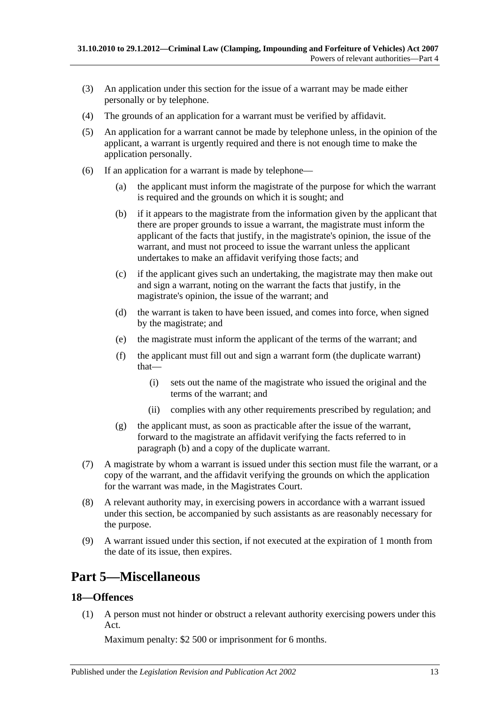- (3) An application under this section for the issue of a warrant may be made either personally or by telephone.
- (4) The grounds of an application for a warrant must be verified by affidavit.
- (5) An application for a warrant cannot be made by telephone unless, in the opinion of the applicant, a warrant is urgently required and there is not enough time to make the application personally.
- <span id="page-12-2"></span>(6) If an application for a warrant is made by telephone—
	- (a) the applicant must inform the magistrate of the purpose for which the warrant is required and the grounds on which it is sought; and
	- (b) if it appears to the magistrate from the information given by the applicant that there are proper grounds to issue a warrant, the magistrate must inform the applicant of the facts that justify, in the magistrate's opinion, the issue of the warrant, and must not proceed to issue the warrant unless the applicant undertakes to make an affidavit verifying those facts; and
	- (c) if the applicant gives such an undertaking, the magistrate may then make out and sign a warrant, noting on the warrant the facts that justify, in the magistrate's opinion, the issue of the warrant; and
	- (d) the warrant is taken to have been issued, and comes into force, when signed by the magistrate; and
	- (e) the magistrate must inform the applicant of the terms of the warrant; and
	- (f) the applicant must fill out and sign a warrant form (the duplicate warrant) that—
		- (i) sets out the name of the magistrate who issued the original and the terms of the warrant; and
		- (ii) complies with any other requirements prescribed by regulation; and
	- (g) the applicant must, as soon as practicable after the issue of the warrant, forward to the magistrate an affidavit verifying the facts referred to in [paragraph](#page-12-2) (b) and a copy of the duplicate warrant.
- (7) A magistrate by whom a warrant is issued under this section must file the warrant, or a copy of the warrant, and the affidavit verifying the grounds on which the application for the warrant was made, in the Magistrates Court.
- (8) A relevant authority may, in exercising powers in accordance with a warrant issued under this section, be accompanied by such assistants as are reasonably necessary for the purpose.
- (9) A warrant issued under this section, if not executed at the expiration of 1 month from the date of its issue, then expires.

## <span id="page-12-0"></span>**Part 5—Miscellaneous**

## <span id="page-12-1"></span>**18—Offences**

(1) A person must not hinder or obstruct a relevant authority exercising powers under this Act.

Maximum penalty: \$2 500 or imprisonment for 6 months.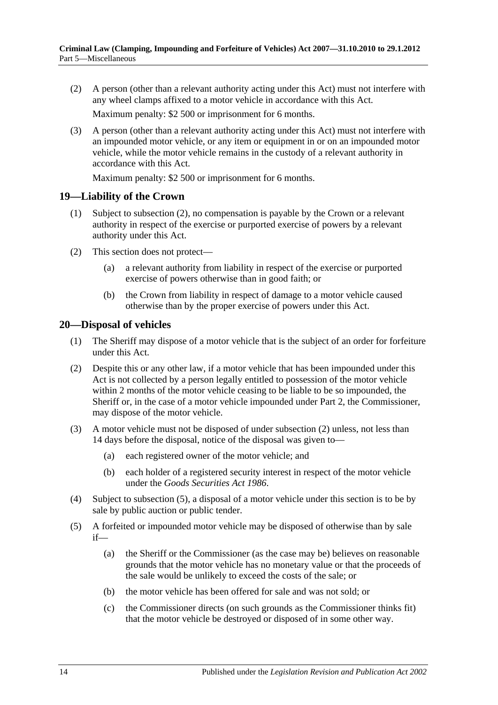(2) A person (other than a relevant authority acting under this Act) must not interfere with any wheel clamps affixed to a motor vehicle in accordance with this Act.

Maximum penalty: \$2 500 or imprisonment for 6 months.

(3) A person (other than a relevant authority acting under this Act) must not interfere with an impounded motor vehicle, or any item or equipment in or on an impounded motor vehicle, while the motor vehicle remains in the custody of a relevant authority in accordance with this Act.

Maximum penalty: \$2 500 or imprisonment for 6 months.

#### <span id="page-13-0"></span>**19—Liability of the Crown**

- (1) Subject to [subsection](#page-13-2) (2), no compensation is payable by the Crown or a relevant authority in respect of the exercise or purported exercise of powers by a relevant authority under this Act.
- <span id="page-13-2"></span>(2) This section does not protect—
	- (a) a relevant authority from liability in respect of the exercise or purported exercise of powers otherwise than in good faith; or
	- (b) the Crown from liability in respect of damage to a motor vehicle caused otherwise than by the proper exercise of powers under this Act.

#### <span id="page-13-1"></span>**20—Disposal of vehicles**

- (1) The Sheriff may dispose of a motor vehicle that is the subject of an order for forfeiture under this Act.
- <span id="page-13-3"></span>(2) Despite this or any other law, if a motor vehicle that has been impounded under this Act is not collected by a person legally entitled to possession of the motor vehicle within 2 months of the motor vehicle ceasing to be liable to be so impounded, the Sheriff or, in the case of a motor vehicle impounded under [Part 2,](#page-2-1) the Commissioner, may dispose of the motor vehicle.
- (3) A motor vehicle must not be disposed of under [subsection](#page-13-3) (2) unless, not less than 14 days before the disposal, notice of the disposal was given to—
	- (a) each registered owner of the motor vehicle; and
	- (b) each holder of a registered security interest in respect of the motor vehicle under the *[Goods Securities Act](http://www.legislation.sa.gov.au/index.aspx?action=legref&type=act&legtitle=Goods%20Securities%20Act%201986) 1986*.
- (4) Subject to [subsection](#page-13-4) (5), a disposal of a motor vehicle under this section is to be by sale by public auction or public tender.
- <span id="page-13-4"></span>(5) A forfeited or impounded motor vehicle may be disposed of otherwise than by sale if—
	- (a) the Sheriff or the Commissioner (as the case may be) believes on reasonable grounds that the motor vehicle has no monetary value or that the proceeds of the sale would be unlikely to exceed the costs of the sale; or
	- (b) the motor vehicle has been offered for sale and was not sold; or
	- (c) the Commissioner directs (on such grounds as the Commissioner thinks fit) that the motor vehicle be destroyed or disposed of in some other way.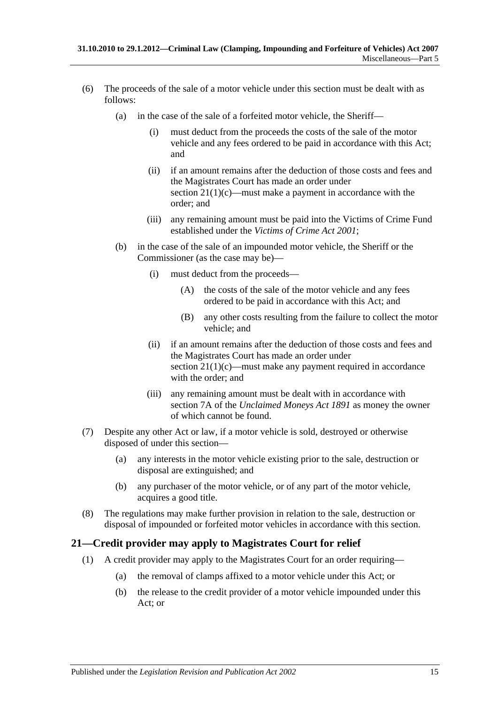- <span id="page-14-1"></span>(6) The proceeds of the sale of a motor vehicle under this section must be dealt with as follows:
	- (a) in the case of the sale of a forfeited motor vehicle, the Sheriff—
		- (i) must deduct from the proceeds the costs of the sale of the motor vehicle and any fees ordered to be paid in accordance with this Act; and
		- (ii) if an amount remains after the deduction of those costs and fees and the Magistrates Court has made an order under section [21\(1\)\(c\)—](#page-15-2)must make a payment in accordance with the order; and
		- (iii) any remaining amount must be paid into the Victims of Crime Fund established under the *[Victims of Crime Act](http://www.legislation.sa.gov.au/index.aspx?action=legref&type=act&legtitle=Victims%20of%20Crime%20Act%202001) 2001*;
	- (b) in the case of the sale of an impounded motor vehicle, the Sheriff or the Commissioner (as the case may be)—
		- (i) must deduct from the proceeds—
			- (A) the costs of the sale of the motor vehicle and any fees ordered to be paid in accordance with this Act; and
			- (B) any other costs resulting from the failure to collect the motor vehicle; and
		- (ii) if an amount remains after the deduction of those costs and fees and the Magistrates Court has made an order under section [21\(1\)\(c\)—](#page-15-2)must make any payment required in accordance with the order; and
		- (iii) any remaining amount must be dealt with in accordance with section 7A of the *[Unclaimed Moneys Act](http://www.legislation.sa.gov.au/index.aspx?action=legref&type=act&legtitle=Unclaimed%20Moneys%20Act%201891) 1891* as money the owner of which cannot be found.
- (7) Despite any other Act or law, if a motor vehicle is sold, destroyed or otherwise disposed of under this section—
	- (a) any interests in the motor vehicle existing prior to the sale, destruction or disposal are extinguished; and
	- (b) any purchaser of the motor vehicle, or of any part of the motor vehicle, acquires a good title.
- (8) The regulations may make further provision in relation to the sale, destruction or disposal of impounded or forfeited motor vehicles in accordance with this section.

## <span id="page-14-0"></span>**21—Credit provider may apply to Magistrates Court for relief**

- <span id="page-14-3"></span><span id="page-14-2"></span>(1) A credit provider may apply to the Magistrates Court for an order requiring—
	- (a) the removal of clamps affixed to a motor vehicle under this Act; or
	- (b) the release to the credit provider of a motor vehicle impounded under this Act; or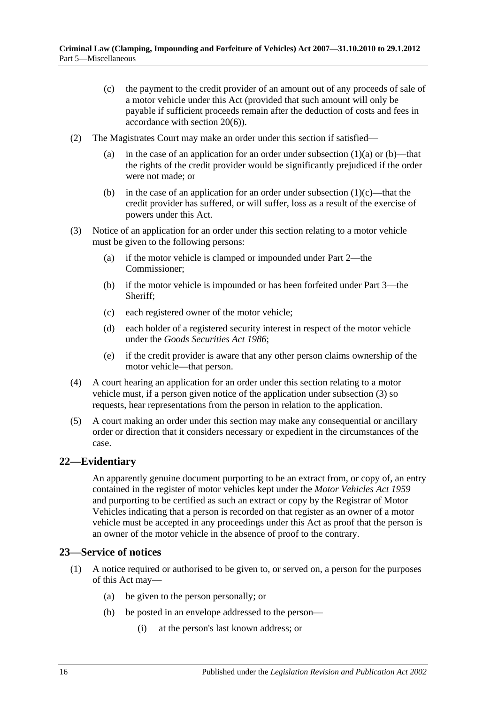- <span id="page-15-2"></span>(c) the payment to the credit provider of an amount out of any proceeds of sale of a motor vehicle under this Act (provided that such amount will only be payable if sufficient proceeds remain after the deduction of costs and fees in accordance with [section](#page-14-1) 20(6)).
- (2) The Magistrates Court may make an order under this section if satisfied
	- (a) in the case of an application for an order under [subsection](#page-14-2)  $(1)(a)$  or  $(b)$ —that the rights of the credit provider would be significantly prejudiced if the order were not made; or
	- (b) in the case of an application for an order under [subsection](#page-15-2)  $(1)(c)$ —that the credit provider has suffered, or will suffer, loss as a result of the exercise of powers under this Act.
- <span id="page-15-3"></span>(3) Notice of an application for an order under this section relating to a motor vehicle must be given to the following persons:
	- (a) if the motor vehicle is clamped or impounded under [Part 2—](#page-2-1)the Commissioner;
	- (b) if the motor vehicle is impounded or has been forfeited under [Part 3—](#page-6-0)the Sheriff;
	- (c) each registered owner of the motor vehicle;
	- (d) each holder of a registered security interest in respect of the motor vehicle under the *[Goods Securities Act](http://www.legislation.sa.gov.au/index.aspx?action=legref&type=act&legtitle=Goods%20Securities%20Act%201986) 1986*;
	- (e) if the credit provider is aware that any other person claims ownership of the motor vehicle—that person.
- (4) A court hearing an application for an order under this section relating to a motor vehicle must, if a person given notice of the application under [subsection](#page-15-3) (3) so requests, hear representations from the person in relation to the application.
- (5) A court making an order under this section may make any consequential or ancillary order or direction that it considers necessary or expedient in the circumstances of the case.

## <span id="page-15-0"></span>**22—Evidentiary**

An apparently genuine document purporting to be an extract from, or copy of, an entry contained in the register of motor vehicles kept under the *[Motor Vehicles Act](http://www.legislation.sa.gov.au/index.aspx?action=legref&type=act&legtitle=Motor%20Vehicles%20Act%201959) 1959* and purporting to be certified as such an extract or copy by the Registrar of Motor Vehicles indicating that a person is recorded on that register as an owner of a motor vehicle must be accepted in any proceedings under this Act as proof that the person is an owner of the motor vehicle in the absence of proof to the contrary.

#### <span id="page-15-1"></span>**23—Service of notices**

- (1) A notice required or authorised to be given to, or served on, a person for the purposes of this Act may—
	- (a) be given to the person personally; or
	- (b) be posted in an envelope addressed to the person—
		- (i) at the person's last known address; or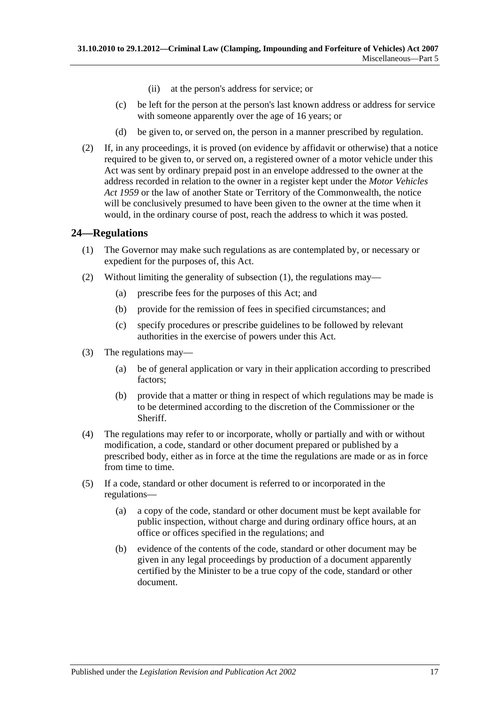- (ii) at the person's address for service; or
- (c) be left for the person at the person's last known address or address for service with someone apparently over the age of 16 years; or
- (d) be given to, or served on, the person in a manner prescribed by regulation.
- (2) If, in any proceedings, it is proved (on evidence by affidavit or otherwise) that a notice required to be given to, or served on, a registered owner of a motor vehicle under this Act was sent by ordinary prepaid post in an envelope addressed to the owner at the address recorded in relation to the owner in a register kept under the *[Motor Vehicles](http://www.legislation.sa.gov.au/index.aspx?action=legref&type=act&legtitle=Motor%20Vehicles%20Act%201959)  Act [1959](http://www.legislation.sa.gov.au/index.aspx?action=legref&type=act&legtitle=Motor%20Vehicles%20Act%201959)* or the law of another State or Territory of the Commonwealth, the notice will be conclusively presumed to have been given to the owner at the time when it would, in the ordinary course of post, reach the address to which it was posted.

## <span id="page-16-1"></span><span id="page-16-0"></span>**24—Regulations**

- (1) The Governor may make such regulations as are contemplated by, or necessary or expedient for the purposes of, this Act.
- (2) Without limiting the generality of [subsection](#page-16-1) (1), the regulations may—
	- (a) prescribe fees for the purposes of this Act; and
	- (b) provide for the remission of fees in specified circumstances; and
	- (c) specify procedures or prescribe guidelines to be followed by relevant authorities in the exercise of powers under this Act.
- (3) The regulations may—
	- (a) be of general application or vary in their application according to prescribed factors;
	- (b) provide that a matter or thing in respect of which regulations may be made is to be determined according to the discretion of the Commissioner or the Sheriff.
- (4) The regulations may refer to or incorporate, wholly or partially and with or without modification, a code, standard or other document prepared or published by a prescribed body, either as in force at the time the regulations are made or as in force from time to time.
- (5) If a code, standard or other document is referred to or incorporated in the regulations—
	- (a) a copy of the code, standard or other document must be kept available for public inspection, without charge and during ordinary office hours, at an office or offices specified in the regulations; and
	- (b) evidence of the contents of the code, standard or other document may be given in any legal proceedings by production of a document apparently certified by the Minister to be a true copy of the code, standard or other document.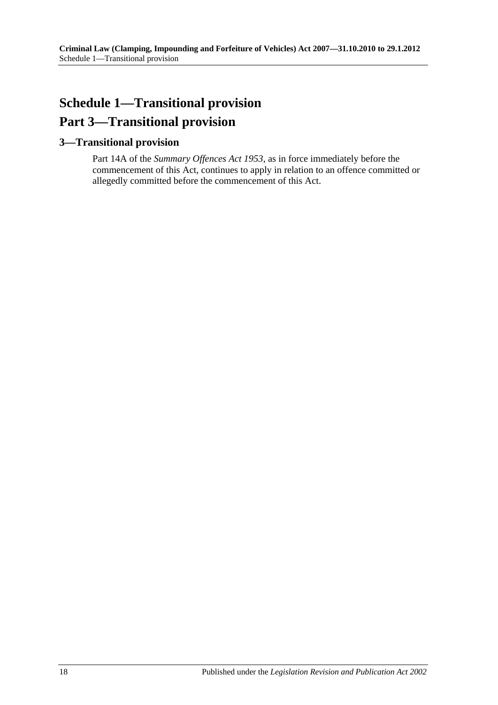# <span id="page-17-0"></span>**Schedule 1—Transitional provision Part 3—Transitional provision**

## <span id="page-17-1"></span>**3—Transitional provision**

Part 14A of the *[Summary Offences Act](http://www.legislation.sa.gov.au/index.aspx?action=legref&type=act&legtitle=Summary%20Offences%20Act%201953) 1953*, as in force immediately before the commencement of this Act, continues to apply in relation to an offence committed or allegedly committed before the commencement of this Act.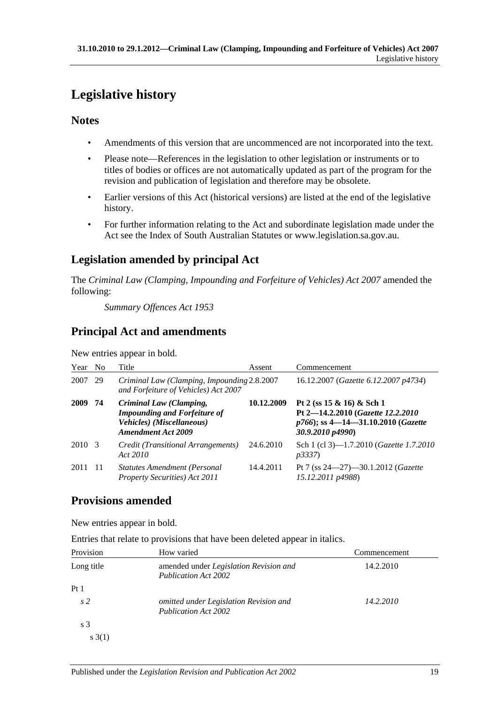# <span id="page-18-0"></span>**Legislative history**

## **Notes**

- Amendments of this version that are uncommenced are not incorporated into the text.
- Please note—References in the legislation to other legislation or instruments or to titles of bodies or offices are not automatically updated as part of the program for the revision and publication of legislation and therefore may be obsolete.
- Earlier versions of this Act (historical versions) are listed at the end of the legislative history.
- For further information relating to the Act and subordinate legislation made under the Act see the Index of South Australian Statutes or www.legislation.sa.gov.au.

## **Legislation amended by principal Act**

The *Criminal Law (Clamping, Impounding and Forfeiture of Vehicles) Act 2007* amended the following:

*Summary Offences Act 1953*

## **Principal Act and amendments**

New entries appear in bold.

| Year No |    | Title                                                                                                                    | Assent     | Commencement                                                                                                                  |
|---------|----|--------------------------------------------------------------------------------------------------------------------------|------------|-------------------------------------------------------------------------------------------------------------------------------|
| 2007    | 29 | Criminal Law (Clamping, Impounding 2.8.2007<br>and Forfeiture of Vehicles) Act 2007                                      |            | 16.12.2007 (Gazette 6.12.2007 p4734)                                                                                          |
| 2009 74 |    | Criminal Law (Clamping,<br><b>Impounding and Forfeiture of</b><br>Vehicles) (Miscellaneous)<br><b>Amendment Act 2009</b> | 10.12.2009 | Pt 2 (ss $15 \& 16$ ) & Sch 1<br>Pt 2-14.2.2010 (Gazette 12.2.2010)<br>p766); ss 4-14-31.10.2010 (Gazette<br>30.9.2010 p4990) |
| 2010 3  |    | Credit (Transitional Arrangements)<br>Act 2010                                                                           | 24.6.2010  | Sch 1 (cl 3)-1.7.2010 (Gazette 1.7.2010<br><i>p3337</i> )                                                                     |
| 2011 11 |    | <b>Statutes Amendment (Personal</b><br>Property Securities) Act 2011                                                     | 14.4.2011  | Pt 7 (ss $24 - 27$ )-30.1.2012 ( <i>Gazette</i><br>15.12.2011 p4988)                                                          |

## **Provisions amended**

New entries appear in bold.

Entries that relate to provisions that have been deleted appear in italics.

| Provision       | How varied                                                            | Commencement |
|-----------------|-----------------------------------------------------------------------|--------------|
| Long title      | amended under Legislation Revision and<br><b>Publication Act 2002</b> | 14.2.2010    |
| Pt <sub>1</sub> |                                                                       |              |
| s <sub>2</sub>  | omitted under Legislation Revision and<br><b>Publication Act 2002</b> | 14.2.2010    |
| s <sub>3</sub>  |                                                                       |              |
| s(1)            |                                                                       |              |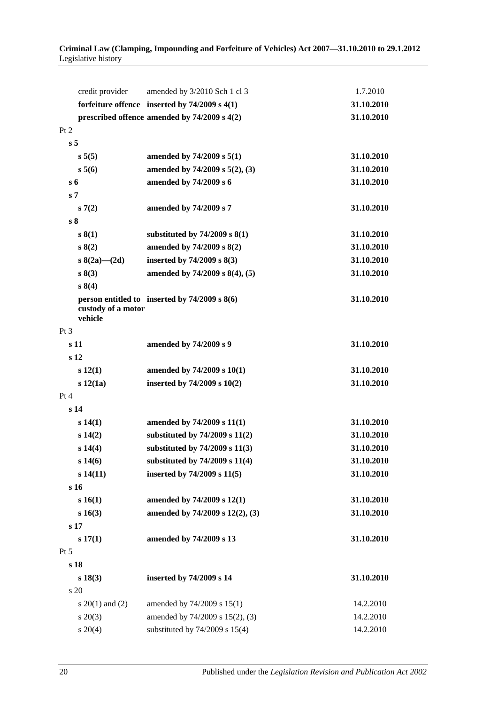#### **Criminal Law (Clamping, Impounding and Forfeiture of Vehicles) Act 2007—31.10.2010 to 29.1.2012** Legislative history

| credit provider               | amended by 3/2010 Sch 1 cl 3                      | 1.7.2010   |
|-------------------------------|---------------------------------------------------|------------|
|                               | forfeiture offence inserted by $74/2009$ s $4(1)$ | 31.10.2010 |
|                               | prescribed offence amended by 74/2009 s 4(2)      | 31.10.2010 |
| Pt 2                          |                                                   |            |
| s <sub>5</sub>                |                                                   |            |
| s 5(5)                        | amended by $74/2009$ s $5(1)$                     | 31.10.2010 |
| $s\,5(6)$                     | amended by 74/2009 s 5(2), (3)                    | 31.10.2010 |
| s <sub>6</sub>                | amended by 74/2009 s 6                            | 31.10.2010 |
| s <sub>7</sub>                |                                                   |            |
| s(7(2)                        | amended by 74/2009 s 7                            | 31.10.2010 |
| s <sub>8</sub>                |                                                   |            |
| s(1)                          | substituted by $74/2009$ s $8(1)$                 | 31.10.2010 |
| s(2)                          | amended by 74/2009 s 8(2)                         | 31.10.2010 |
| s $8(2a)$ (2d)                | inserted by 74/2009 s 8(3)                        | 31.10.2010 |
| s(3)                          | amended by $74/2009$ s $8(4)$ , (5)               | 31.10.2010 |
| s 8(4)                        |                                                   |            |
| custody of a motor<br>vehicle | person entitled to inserted by $74/2009$ s $8(6)$ | 31.10.2010 |
| Pt 3                          |                                                   |            |
| s 11                          | amended by 74/2009 s 9                            | 31.10.2010 |
| s <sub>12</sub>               |                                                   |            |
| s 12(1)                       | amended by 74/2009 s 10(1)                        | 31.10.2010 |
| $s\ 12(1a)$                   | inserted by $74/2009$ s $10(2)$                   | 31.10.2010 |
| Pt 4                          |                                                   |            |
| s <sub>14</sub>               |                                                   |            |
| s 14(1)                       | amended by 74/2009 s 11(1)                        | 31.10.2010 |
| s 14(2)                       | substituted by $74/2009$ s $11(2)$                | 31.10.2010 |
| s 14(4)                       | substituted by 74/2009 s 11(3)                    | 31.10.2010 |
| s 14(6)                       | substituted by 74/2009 s 11(4)                    | 31.10.2010 |
| s 14(11)                      | inserted by 74/2009 s 11(5)                       | 31.10.2010 |
| s 16                          |                                                   |            |
| s 16(1)                       | amended by 74/2009 s 12(1)                        | 31.10.2010 |
| s 16(3)                       | amended by 74/2009 s 12(2), (3)                   | 31.10.2010 |
| s 17                          |                                                   |            |
| s 17(1)                       | amended by 74/2009 s 13                           | 31.10.2010 |
| $Pt\,5$                       |                                                   |            |
| s 18                          |                                                   |            |
| s 18(3)                       | inserted by 74/2009 s 14                          | 31.10.2010 |
| s 20                          |                                                   |            |
| s $20(1)$ and $(2)$           | amended by 74/2009 s 15(1)                        | 14.2.2010  |
| $s \ 20(3)$                   | amended by 74/2009 s 15(2), (3)                   | 14.2.2010  |
| $s \ 20(4)$                   | substituted by $74/2009$ s $15(4)$                | 14.2.2010  |